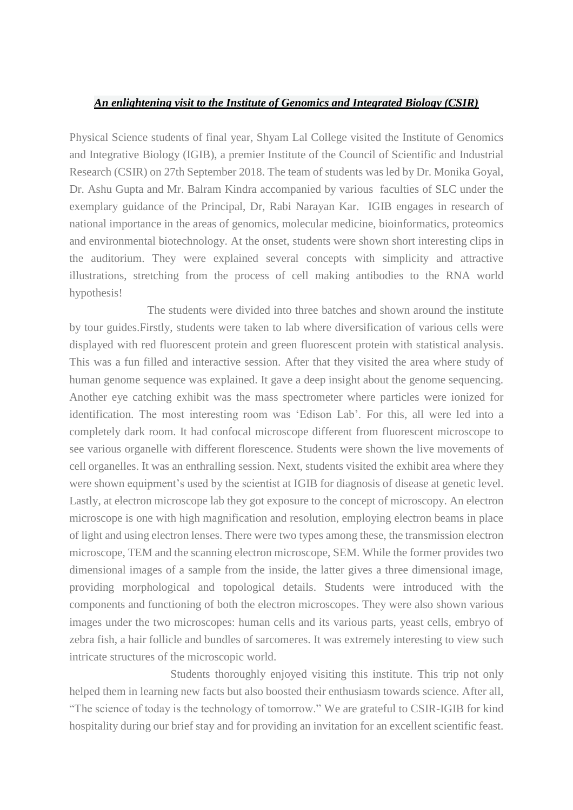## *An enlightening visit to the Institute of Genomics and Integrated Biology (CSIR)*

Physical Science students of final year, Shyam Lal College visited the Institute of Genomics and Integrative Biology (IGIB), a premier Institute of the Council of Scientific and Industrial Research (CSIR) on 27th September 2018. The team of students was led by Dr. Monika Goyal, Dr. Ashu Gupta and Mr. Balram Kindra accompanied by various faculties of SLC under the exemplary guidance of the Principal, Dr, Rabi Narayan Kar. IGIB engages in research of national importance in the areas of genomics, molecular medicine, bioinformatics, proteomics and environmental biotechnology. At the onset, students were shown short interesting clips in the auditorium. They were explained several concepts with simplicity and attractive illustrations, stretching from the process of cell making antibodies to the RNA world hypothesis!

 The students were divided into three batches and shown around the institute by tour guides.Firstly, students were taken to lab where diversification of various cells were displayed with red fluorescent protein and green fluorescent protein with statistical analysis. This was a fun filled and interactive session. After that they visited the area where study of human genome sequence was explained. It gave a deep insight about the genome sequencing. Another eye catching exhibit was the mass spectrometer where particles were ionized for identification. The most interesting room was 'Edison Lab'. For this, all were led into a completely dark room. It had confocal microscope different from fluorescent microscope to see various organelle with different florescence. Students were shown the live movements of cell organelles. It was an enthralling session. Next, students visited the exhibit area where they were shown equipment's used by the scientist at IGIB for diagnosis of disease at genetic level. Lastly, at electron microscope lab they got exposure to the concept of microscopy. An electron microscope is one with high magnification and resolution, employing electron beams in place of light and using electron lenses. There were two types among these, the transmission electron microscope, TEM and the scanning electron microscope, SEM. While the former provides two dimensional images of a sample from the inside, the latter gives a three dimensional image, providing morphological and topological details. Students were introduced with the components and functioning of both the electron microscopes. They were also shown various images under the two microscopes: human cells and its various parts, yeast cells, embryo of zebra fish, a hair follicle and bundles of sarcomeres. It was extremely interesting to view such intricate structures of the microscopic world.

 Students thoroughly enjoyed visiting this institute. This trip not only helped them in learning new facts but also boosted their enthusiasm towards science. After all, "The science of today is the technology of tomorrow." We are grateful to CSIR-IGIB for kind hospitality during our brief stay and for providing an invitation for an excellent scientific feast.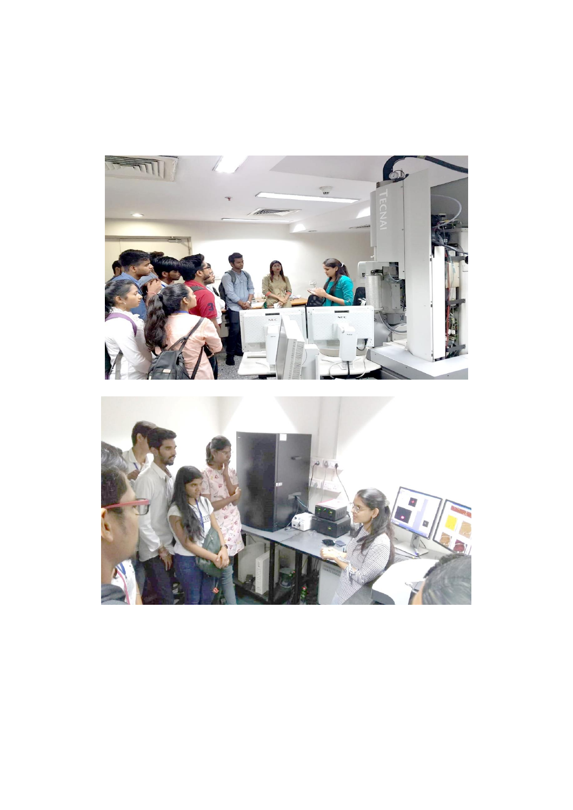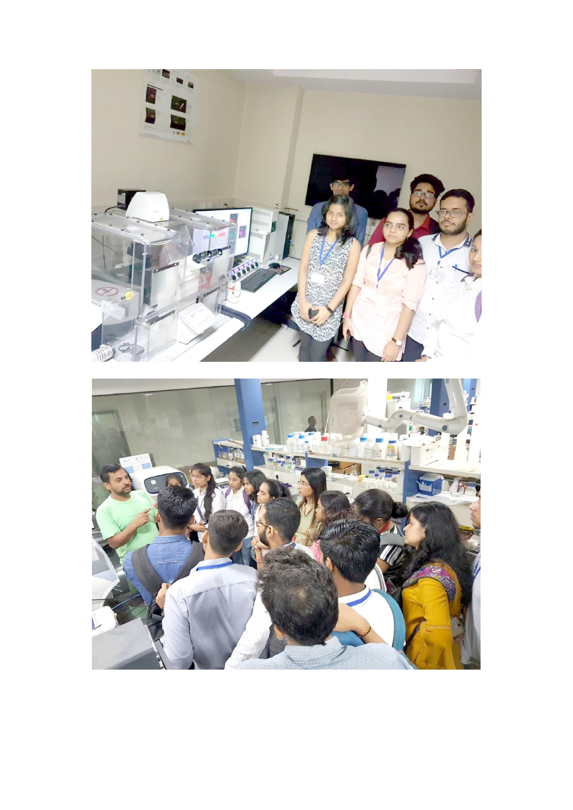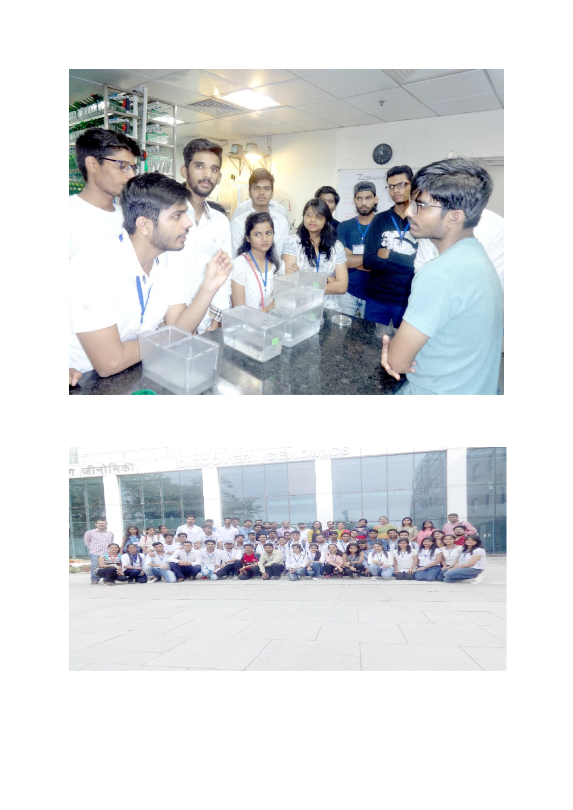